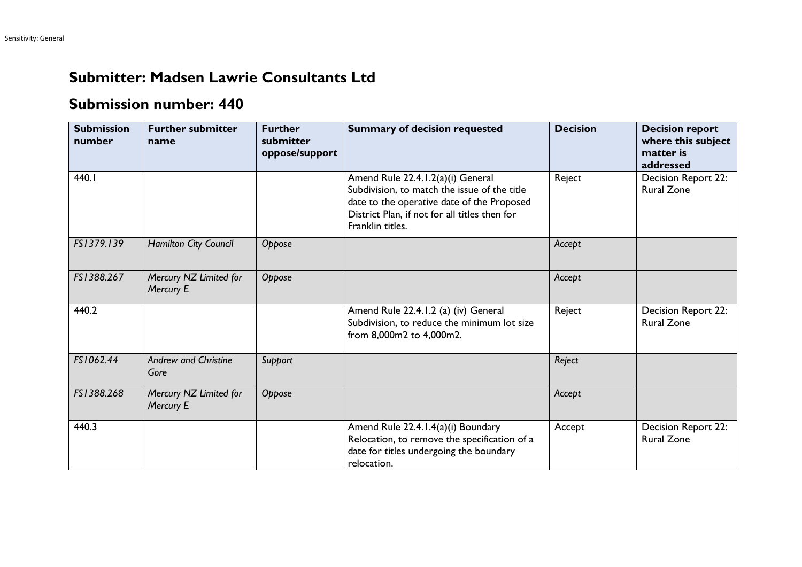## **Submitter: Madsen Lawrie Consultants Ltd**

## **Submission number: 440**

| <b>Submission</b><br>number | <b>Further submitter</b><br>name    | <b>Further</b><br>submitter<br>oppose/support | <b>Summary of decision requested</b>                                                                                                                                                                 | <b>Decision</b> | <b>Decision report</b><br>where this subject<br>matter is<br>addressed |
|-----------------------------|-------------------------------------|-----------------------------------------------|------------------------------------------------------------------------------------------------------------------------------------------------------------------------------------------------------|-----------------|------------------------------------------------------------------------|
| 440.I                       |                                     |                                               | Amend Rule 22.4.1.2(a)(i) General<br>Subdivision, to match the issue of the title<br>date to the operative date of the Proposed<br>District Plan, if not for all titles then for<br>Franklin titles. | Reject          | Decision Report 22:<br><b>Rural Zone</b>                               |
| FS1379.139                  | Hamilton City Council               | Oppose                                        |                                                                                                                                                                                                      | Accept          |                                                                        |
| FS1388.267                  | Mercury NZ Limited for<br>Mercury E | Oppose                                        |                                                                                                                                                                                                      | Accept          |                                                                        |
| 440.2                       |                                     |                                               | Amend Rule 22.4.1.2 (a) (iv) General<br>Subdivision, to reduce the minimum lot size<br>from 8,000m2 to 4,000m2.                                                                                      | Reject          | Decision Report 22:<br><b>Rural Zone</b>                               |
| FS1062.44                   | <b>Andrew and Christine</b><br>Gore | Support                                       |                                                                                                                                                                                                      | Reject          |                                                                        |
| FS1388.268                  | Mercury NZ Limited for<br>Mercury E | Oppose                                        |                                                                                                                                                                                                      | Accept          |                                                                        |
| 440.3                       |                                     |                                               | Amend Rule 22.4.1.4(a)(i) Boundary<br>Relocation, to remove the specification of a<br>date for titles undergoing the boundary<br>relocation.                                                         | Accept          | Decision Report 22:<br><b>Rural Zone</b>                               |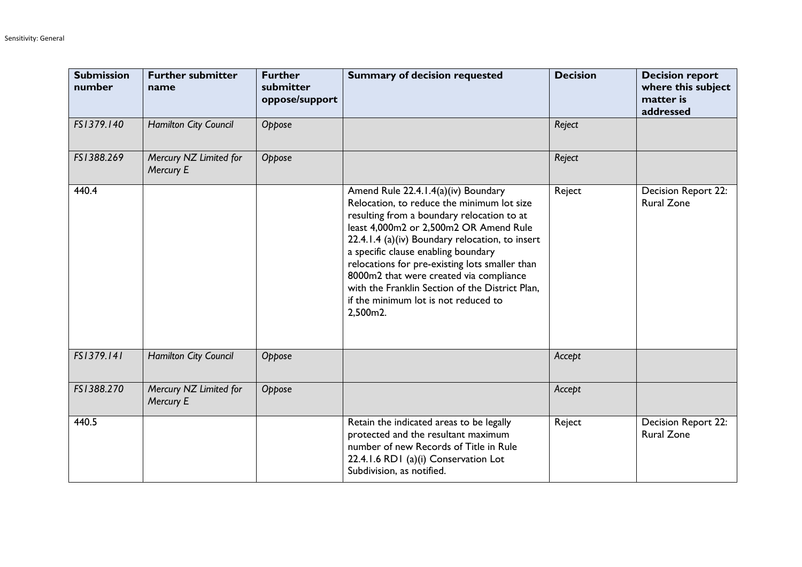| <b>Submission</b><br>number | <b>Further submitter</b><br>name    | <b>Further</b><br>submitter<br>oppose/support | <b>Summary of decision requested</b>                                                                                                                                                                                                                                                                                                                                                                                                                                     | <b>Decision</b> | <b>Decision report</b><br>where this subject<br>matter is<br>addressed |
|-----------------------------|-------------------------------------|-----------------------------------------------|--------------------------------------------------------------------------------------------------------------------------------------------------------------------------------------------------------------------------------------------------------------------------------------------------------------------------------------------------------------------------------------------------------------------------------------------------------------------------|-----------------|------------------------------------------------------------------------|
| FS1379.140                  | Hamilton City Council               | Oppose                                        |                                                                                                                                                                                                                                                                                                                                                                                                                                                                          | Reject          |                                                                        |
| FS1388.269                  | Mercury NZ Limited for<br>Mercury E | Oppose                                        |                                                                                                                                                                                                                                                                                                                                                                                                                                                                          | Reject          |                                                                        |
| 440.4                       |                                     |                                               | Amend Rule 22.4.1.4(a)(iv) Boundary<br>Relocation, to reduce the minimum lot size<br>resulting from a boundary relocation to at<br>least 4,000m2 or 2,500m2 OR Amend Rule<br>22.4.1.4 (a) (iv) Boundary relocation, to insert<br>a specific clause enabling boundary<br>relocations for pre-existing lots smaller than<br>8000m2 that were created via compliance<br>with the Franklin Section of the District Plan,<br>if the minimum lot is not reduced to<br>2,500m2. | Reject          | Decision Report 22:<br><b>Rural Zone</b>                               |
| FS1379.141                  | Hamilton City Council               | Oppose                                        |                                                                                                                                                                                                                                                                                                                                                                                                                                                                          | Accept          |                                                                        |
| FS1388.270                  | Mercury NZ Limited for<br>Mercury E | Oppose                                        |                                                                                                                                                                                                                                                                                                                                                                                                                                                                          | Accept          |                                                                        |
| 440.5                       |                                     |                                               | Retain the indicated areas to be legally<br>protected and the resultant maximum<br>number of new Records of Title in Rule<br>22.4.1.6 RD1 (a)(i) Conservation Lot<br>Subdivision, as notified.                                                                                                                                                                                                                                                                           | Reject          | <b>Decision Report 22:</b><br><b>Rural Zone</b>                        |